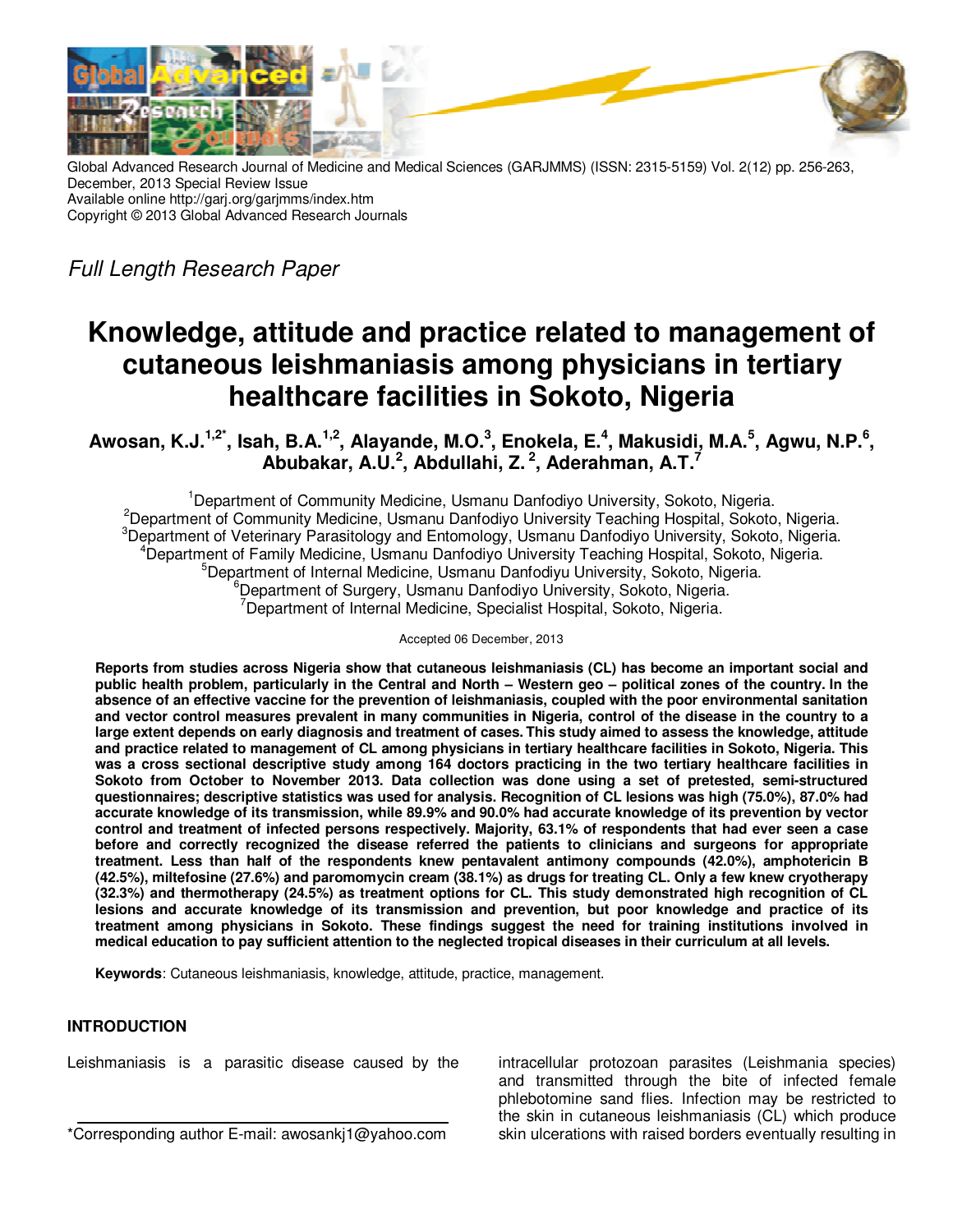

Global Advanced Research Journal of Medicine and Medical Sciences (GARJMMS) (ISSN: 2315-5159) Vol. 2(12) pp. 256-263, December, 2013 Special Review Issue Available online http://garj.org/garjmms/index.htm Copyright © 2013 Global Advanced Research Journals

Full Length Research Paper

# **Knowledge, attitude and practice related to management of cutaneous leishmaniasis among physicians in tertiary healthcare facilities in Sokoto, Nigeria**

**Awosan, K.J.1,2\*, Isah, B.A.1,2, Alayande, M.O.<sup>3</sup> , Enokela, E.<sup>4</sup> , Makusidi, M.A.<sup>5</sup> , Agwu, N.P.<sup>6</sup> , Abubakar, A.U.<sup>2</sup> , Abdullahi, Z.<sup>2</sup>, Aderahman, A.T.<sup>7</sup>**

<sup>1</sup>Department of Community Medicine, Usmanu Danfodiyo University, Sokoto, Nigeria. <sup>2</sup>Department of Community Medicine, Usmanu Danfodiyo University Teaching Hospital, Sokoto, Nigeria. <sup>3</sup>Department of Veterinary Parasitology and Entomology, Usmanu Danfodiyo University, Sokoto, Nigeria. <sup>4</sup>Department of Family Medicine, Usmanu Danfodiyo University Teaching Hospital, Sokoto, Nigeria. <sup>5</sup>Department of Internal Medicine, Usmanu Danfodiyu University, Sokoto, Nigeria. <sup>6</sup>Department of Surgery, Usmanu Danfodiyo University, Sokoto, Nigeria. <sup>7</sup>Department of Internal Medicine, Specialist Hospital, Sokoto, Nigeria.

#### Accepted 06 December, 2013

**Reports from studies across Nigeria show that cutaneous leishmaniasis (CL) has become an important social and public health problem, particularly in the Central and North – Western geo – political zones of the country. In the absence of an effective vaccine for the prevention of leishmaniasis, coupled with the poor environmental sanitation and vector control measures prevalent in many communities in Nigeria, control of the disease in the country to a large extent depends on early diagnosis and treatment of cases. This study aimed to assess the knowledge, attitude and practice related to management of CL among physicians in tertiary healthcare facilities in Sokoto, Nigeria. This was a cross sectional descriptive study among 164 doctors practicing in the two tertiary healthcare facilities in Sokoto from October to November 2013. Data collection was done using a set of pretested, semi-structured questionnaires; descriptive statistics was used for analysis. Recognition of CL lesions was high (75.0%), 87.0% had accurate knowledge of its transmission, while 89.9% and 90.0% had accurate knowledge of its prevention by vector control and treatment of infected persons respectively. Majority, 63.1% of respondents that had ever seen a case before and correctly recognized the disease referred the patients to clinicians and surgeons for appropriate treatment. Less than half of the respondents knew pentavalent antimony compounds (42.0%), amphotericin B (42.5%), miltefosine (27.6%) and paromomycin cream (38.1%) as drugs for treating CL. Only a few knew cryotherapy (32.3%) and thermotherapy (24.5%) as treatment options for CL. This study demonstrated high recognition of CL lesions and accurate knowledge of its transmission and prevention, but poor knowledge and practice of its treatment among physicians in Sokoto. These findings suggest the need for training institutions involved in medical education to pay sufficient attention to the neglected tropical diseases in their curriculum at all levels.** 

**Keywords**: Cutaneous leishmaniasis, knowledge, attitude, practice, management.

## **INTRODUCTION**

Leishmaniasis is a parasitic disease caused by the

intracellular protozoan parasites (Leishmania species) and transmitted through the bite of infected female phlebotomine sand flies. Infection may be restricted to the skin in cutaneous leishmaniasis (CL) which produce skin ulcerations with raised borders eventually resulting in

<sup>\*</sup>Corresponding author E-mail: awosankj1@yahoo.com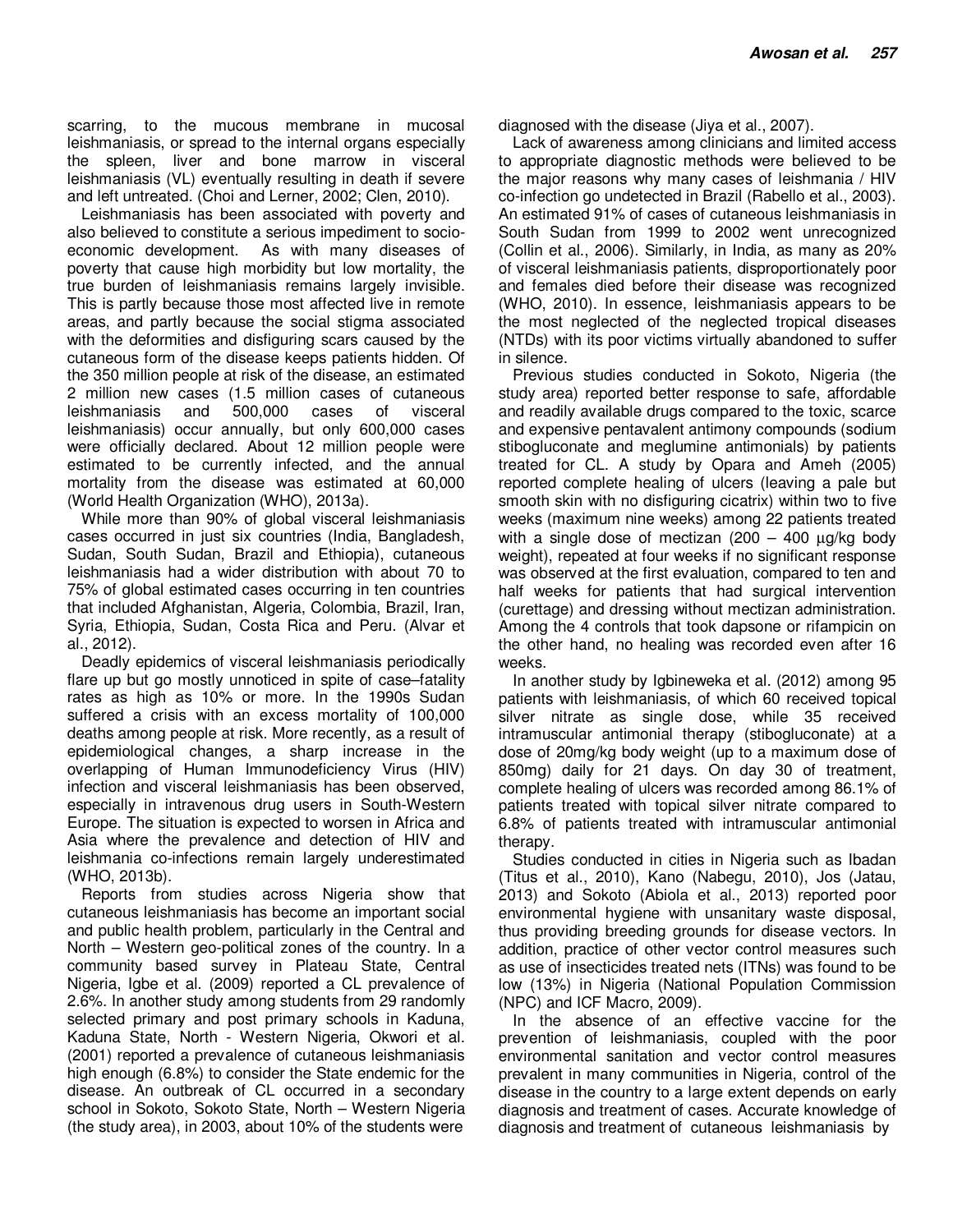scarring, to the mucous membrane in mucosal leishmaniasis, or spread to the internal organs especially the spleen, liver and bone marrow in visceral leishmaniasis (VL) eventually resulting in death if severe and left untreated. (Choi and Lerner, 2002; Clen, 2010).

Leishmaniasis has been associated with poverty and also believed to constitute a serious impediment to socioeconomic development. As with many diseases of poverty that cause high morbidity but low mortality, the true burden of leishmaniasis remains largely invisible. This is partly because those most affected live in remote areas, and partly because the social stigma associated with the deformities and disfiguring scars caused by the cutaneous form of the disease keeps patients hidden. Of the 350 million people at risk of the disease, an estimated 2 million new cases (1.5 million cases of cutaneous leishmaniasis and 500,000 cases of visceral leishmaniasis) occur annually, but only 600,000 cases were officially declared. About 12 million people were estimated to be currently infected, and the annual mortality from the disease was estimated at 60,000 (World Health Organization (WHO), 2013a).

While more than 90% of global visceral leishmaniasis cases occurred in just six countries (India, Bangladesh, Sudan, South Sudan, Brazil and Ethiopia), cutaneous leishmaniasis had a wider distribution with about 70 to 75% of global estimated cases occurring in ten countries that included Afghanistan, Algeria, Colombia, Brazil, Iran, Syria, Ethiopia, Sudan, Costa Rica and Peru. (Alvar et al., 2012).

Deadly epidemics of visceral leishmaniasis periodically flare up but go mostly unnoticed in spite of case–fatality rates as high as 10% or more. In the 1990s Sudan suffered a crisis with an excess mortality of 100,000 deaths among people at risk. More recently, as a result of epidemiological changes, a sharp increase in the overlapping of Human Immunodeficiency Virus (HIV) infection and visceral leishmaniasis has been observed, especially in intravenous drug users in South-Western Europe. The situation is expected to worsen in Africa and Asia where the prevalence and detection of HIV and leishmania co-infections remain largely underestimated (WHO, 2013b).

Reports from studies across Nigeria show that cutaneous leishmaniasis has become an important social and public health problem, particularly in the Central and North – Western geo-political zones of the country. In a community based survey in Plateau State, Central Nigeria, Igbe et al. (2009) reported a CL prevalence of 2.6%. In another study among students from 29 randomly selected primary and post primary schools in Kaduna, Kaduna State, North - Western Nigeria, Okwori et al. (2001) reported a prevalence of cutaneous leishmaniasis high enough (6.8%) to consider the State endemic for the disease. An outbreak of CL occurred in a secondary school in Sokoto, Sokoto State, North – Western Nigeria (the study area), in 2003, about 10% of the students were

diagnosed with the disease (Jiya et al., 2007).

Lack of awareness among clinicians and limited access to appropriate diagnostic methods were believed to be the major reasons why many cases of leishmania / HIV co-infection go undetected in Brazil (Rabello et al., 2003). An estimated 91% of cases of cutaneous leishmaniasis in South Sudan from 1999 to 2002 went unrecognized (Collin et al., 2006). Similarly, in India, as many as 20% of visceral leishmaniasis patients, disproportionately poor and females died before their disease was recognized (WHO, 2010). In essence, leishmaniasis appears to be the most neglected of the neglected tropical diseases (NTDs) with its poor victims virtually abandoned to suffer in silence.

Previous studies conducted in Sokoto, Nigeria (the study area) reported better response to safe, affordable and readily available drugs compared to the toxic, scarce and expensive pentavalent antimony compounds (sodium stibogluconate and meglumine antimonials) by patients treated for CL. A study by Opara and Ameh (2005) reported complete healing of ulcers (leaving a pale but smooth skin with no disfiguring cicatrix) within two to five weeks (maximum nine weeks) among 22 patients treated with a single dose of mectizan  $(200 - 400 \mu g/kg)$ weight), repeated at four weeks if no significant response was observed at the first evaluation, compared to ten and half weeks for patients that had surgical intervention (curettage) and dressing without mectizan administration. Among the 4 controls that took dapsone or rifampicin on the other hand, no healing was recorded even after 16 weeks.

In another study by Igbineweka et al. (2012) among 95 patients with leishmaniasis, of which 60 received topical silver nitrate as single dose, while 35 received intramuscular antimonial therapy (stibogluconate) at a dose of 20mg/kg body weight (up to a maximum dose of 850mg) daily for 21 days. On day 30 of treatment, complete healing of ulcers was recorded among 86.1% of patients treated with topical silver nitrate compared to 6.8% of patients treated with intramuscular antimonial therapy.

Studies conducted in cities in Nigeria such as Ibadan (Titus et al., 2010), Kano (Nabegu, 2010), Jos (Jatau, 2013) and Sokoto (Abiola et al., 2013) reported poor environmental hygiene with unsanitary waste disposal, thus providing breeding grounds for disease vectors. In addition, practice of other vector control measures such as use of insecticides treated nets (ITNs) was found to be low (13%) in Nigeria (National Population Commission (NPC) and ICF Macro, 2009).

In the absence of an effective vaccine for the prevention of leishmaniasis, coupled with the poor environmental sanitation and vector control measures prevalent in many communities in Nigeria, control of the disease in the country to a large extent depends on early diagnosis and treatment of cases. Accurate knowledge of diagnosis and treatment of cutaneous leishmaniasis by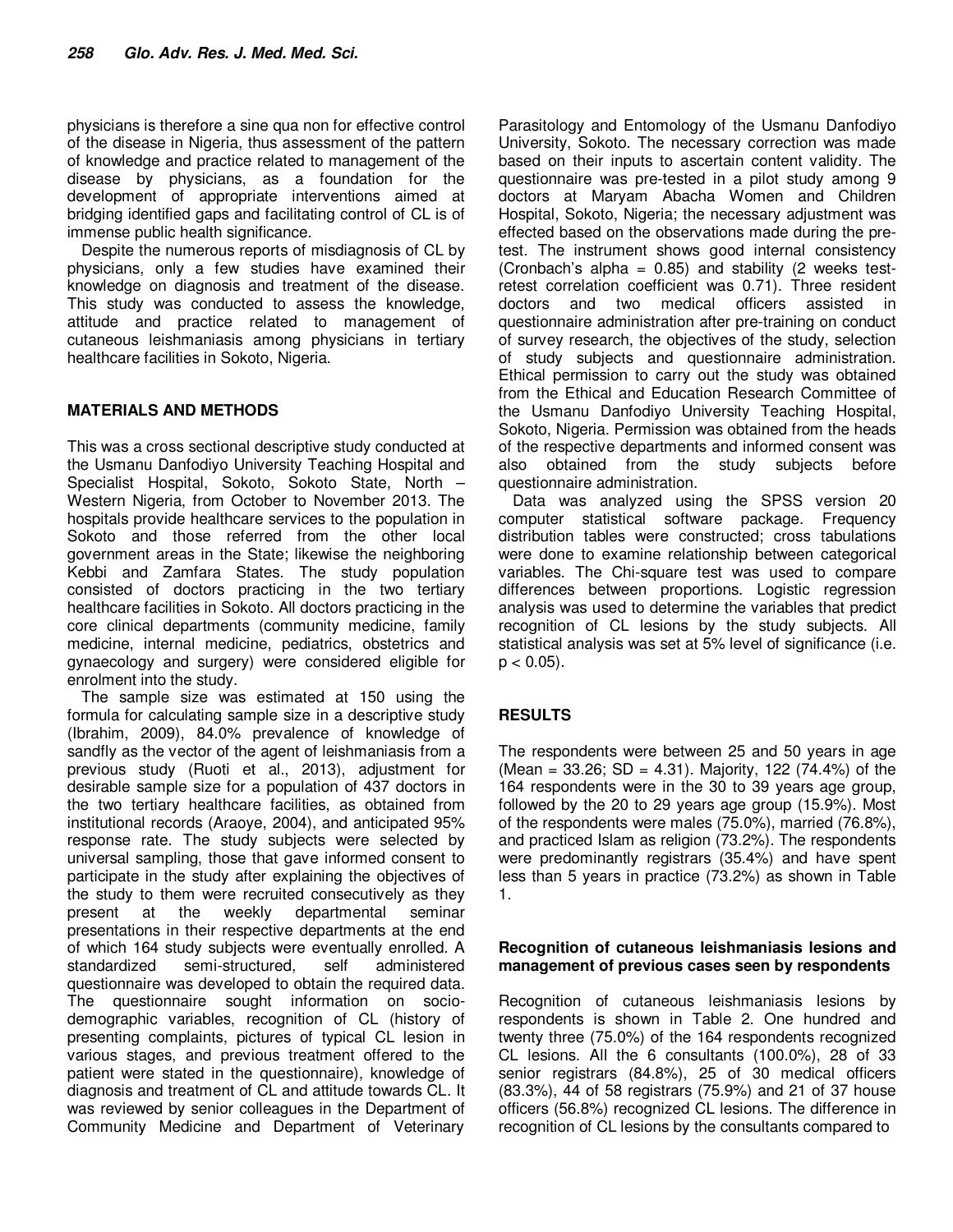physicians is therefore a sine qua non for effective control of the disease in Nigeria, thus assessment of the pattern of knowledge and practice related to management of the disease by physicians, as a foundation for the development of appropriate interventions aimed at bridging identified gaps and facilitating control of CL is of immense public health significance.

Despite the numerous reports of misdiagnosis of CL by physicians, only a few studies have examined their knowledge on diagnosis and treatment of the disease. This study was conducted to assess the knowledge, attitude and practice related to management of cutaneous leishmaniasis among physicians in tertiary healthcare facilities in Sokoto, Nigeria.

# **MATERIALS AND METHODS**

This was a cross sectional descriptive study conducted at the Usmanu Danfodiyo University Teaching Hospital and Specialist Hospital, Sokoto, Sokoto State, North – Western Nigeria, from October to November 2013. The hospitals provide healthcare services to the population in Sokoto and those referred from the other local government areas in the State; likewise the neighboring Kebbi and Zamfara States. The study population consisted of doctors practicing in the two tertiary healthcare facilities in Sokoto. All doctors practicing in the core clinical departments (community medicine, family medicine, internal medicine, pediatrics, obstetrics and gynaecology and surgery) were considered eligible for enrolment into the study.

The sample size was estimated at 150 using the formula for calculating sample size in a descriptive study (Ibrahim, 2009), 84.0% prevalence of knowledge of sandfly as the vector of the agent of leishmaniasis from a previous study (Ruoti et al., 2013), adjustment for desirable sample size for a population of 437 doctors in the two tertiary healthcare facilities, as obtained from institutional records (Araoye, 2004), and anticipated 95% response rate. The study subjects were selected by universal sampling, those that gave informed consent to participate in the study after explaining the objectives of the study to them were recruited consecutively as they present at the weekly departmental seminar presentations in their respective departments at the end of which 164 study subjects were eventually enrolled. A standardized semi-structured, self administered questionnaire was developed to obtain the required data. The questionnaire sought information on sociodemographic variables, recognition of CL (history of presenting complaints, pictures of typical CL lesion in various stages, and previous treatment offered to the patient were stated in the questionnaire), knowledge of diagnosis and treatment of CL and attitude towards CL. It was reviewed by senior colleagues in the Department of Community Medicine and Department of Veterinary

Parasitology and Entomology of the Usmanu Danfodiyo University, Sokoto. The necessary correction was made based on their inputs to ascertain content validity. The questionnaire was pre-tested in a pilot study among 9 doctors at Maryam Abacha Women and Children Hospital, Sokoto, Nigeria; the necessary adjustment was effected based on the observations made during the pretest. The instrument shows good internal consistency (Cronbach's alpha =  $0.85$ ) and stability (2 weeks testretest correlation coefficient was 0.71). Three resident doctors and two medical officers assisted in questionnaire administration after pre-training on conduct of survey research, the objectives of the study, selection of study subjects and questionnaire administration. Ethical permission to carry out the study was obtained from the Ethical and Education Research Committee of the Usmanu Danfodiyo University Teaching Hospital, Sokoto, Nigeria. Permission was obtained from the heads of the respective departments and informed consent was also obtained from the study subjects before questionnaire administration.

Data was analyzed using the SPSS version 20 computer statistical software package. Frequency distribution tables were constructed; cross tabulations were done to examine relationship between categorical variables. The Chi-square test was used to compare differences between proportions. Logistic regression analysis was used to determine the variables that predict recognition of CL lesions by the study subjects. All statistical analysis was set at 5% level of significance (i.e.  $p < 0.05$ ).

# **RESULTS**

The respondents were between 25 and 50 years in age  $(Mean = 33.26; SD = 4.31)$ . Majority, 122 (74.4%) of the 164 respondents were in the 30 to 39 years age group, followed by the 20 to 29 years age group (15.9%). Most of the respondents were males (75.0%), married (76.8%), and practiced Islam as religion (73.2%). The respondents were predominantly registrars (35.4%) and have spent less than 5 years in practice (73.2%) as shown in Table 1.

## **Recognition of cutaneous leishmaniasis lesions and management of previous cases seen by respondents**

Recognition of cutaneous leishmaniasis lesions by respondents is shown in Table 2. One hundred and twenty three (75.0%) of the 164 respondents recognized CL lesions. All the 6 consultants (100.0%), 28 of 33 senior registrars (84.8%), 25 of 30 medical officers (83.3%), 44 of 58 registrars (75.9%) and 21 of 37 house officers (56.8%) recognized CL lesions. The difference in recognition of CL lesions by the consultants compared to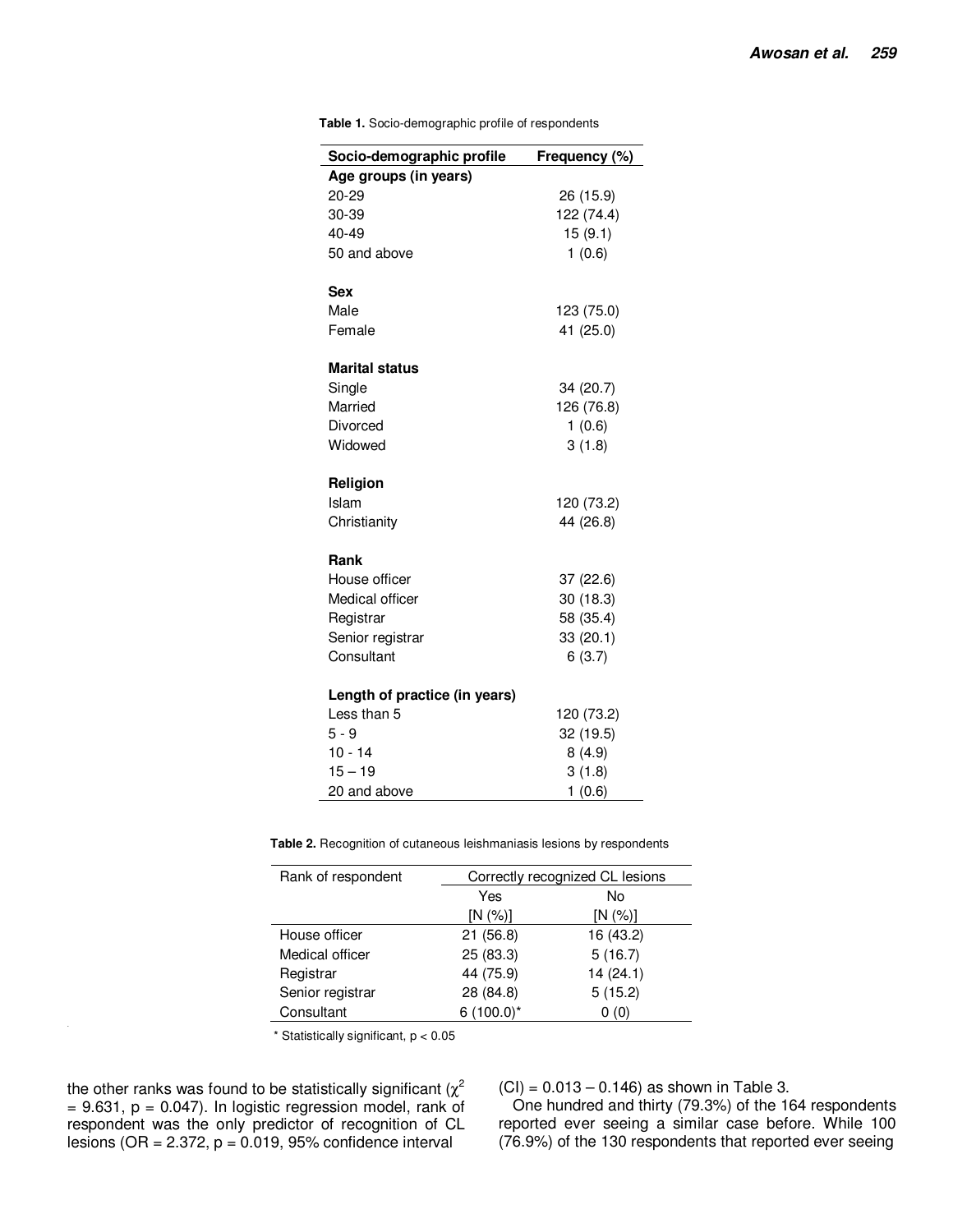| Socio-demographic profile     | Frequency (%) |
|-------------------------------|---------------|
| Age groups (in years)         |               |
| 20-29                         | 26 (15.9)     |
| 30-39                         | 122 (74.4)    |
| 40-49                         | 15(9.1)       |
| 50 and above                  | 1(0.6)        |
| Sex                           |               |
| Male                          | 123 (75.0)    |
| Female                        | 41 (25.0)     |
| <b>Marital status</b>         |               |
| Single                        | 34 (20.7)     |
| Married                       | 126 (76.8)    |
| Divorced                      | 1(0.6)        |
| Widowed                       | 3(1.8)        |
| Religion                      |               |
| Islam                         | 120 (73.2)    |
| Christianity                  | 44 (26.8)     |
| Rank                          |               |
| House officer                 | 37 (22.6)     |
| Medical officer               | 30 (18.3)     |
| Registrar                     | 58 (35.4)     |
| Senior registrar              | 33 (20.1)     |
| Consultant                    | 6(3.7)        |
| Length of practice (in years) |               |
| Less than 5                   | 120 (73.2)    |
| $5 - 9$                       | 32 (19.5)     |
| $10 - 14$                     | 8(4.9)        |
| $15 - 19$                     | 3(1.8)        |
| 20 and above                  | 1(0.6)        |

**Table 1.** Socio-demographic profile of respondents

**Table 2.** Recognition of cutaneous leishmaniasis lesions by respondents

| Rank of respondent | Correctly recognized CL lesions |           |  |
|--------------------|---------------------------------|-----------|--|
|                    | Yes                             | No        |  |
|                    | [N (%)]                         | [N (%)]   |  |
| House officer      | 21(56.8)                        | 16 (43.2) |  |
| Medical officer    | 25 (83.3)                       | 5(16.7)   |  |
| Registrar          | 44 (75.9)                       | 14(24.1)  |  |
| Senior registrar   | 28 (84.8)                       | 5(15.2)   |  |
| Consultant         | $6(100.0)^*$                    | 0(0)      |  |

 $*$  Statistically significant,  $p < 0.05$ 

the other ranks was found to be statistically significant ( $\chi^2$  $= 9.631$ ,  $p = 0.047$ ). In logistic regression model, rank of respondent was the only predictor of recognition of CL lesions (OR =  $2.372$ ,  $p = 0.019$ , 95% confidence interval

 $(CI) = 0.013 - 0.146$  as shown in Table 3.

One hundred and thirty (79.3%) of the 164 respondents reported ever seeing a similar case before. While 100 (76.9%) of the 130 respondents that reported ever seeing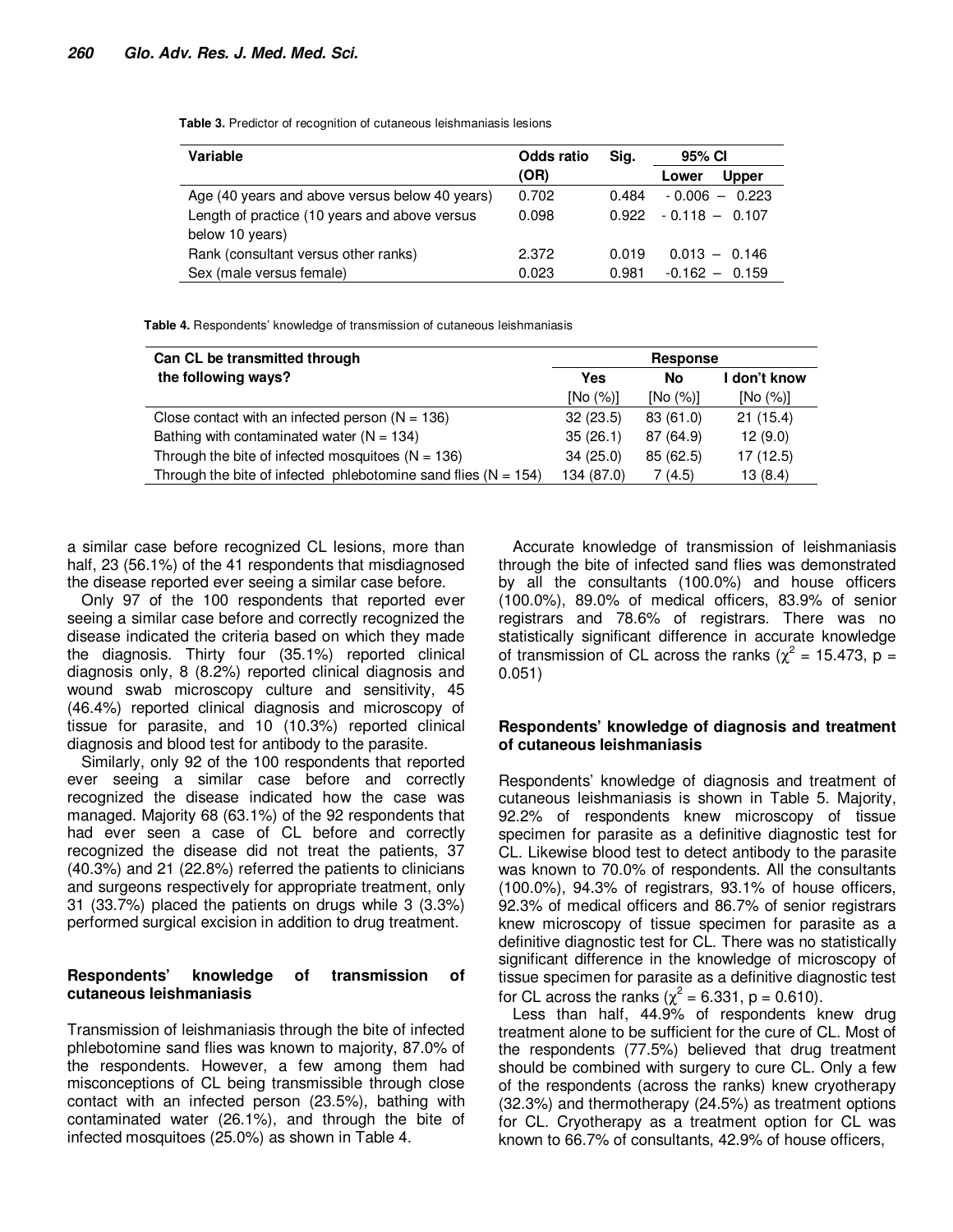**Table 3.** Predictor of recognition of cutaneous leishmaniasis lesions

| Variable                                       | <b>Odds ratio</b> | Sig.  | 95% CI                |
|------------------------------------------------|-------------------|-------|-----------------------|
|                                                | (OR)              |       | <b>Upper</b><br>Lower |
| Age (40 years and above versus below 40 years) | 0.702             | 0.484 | $-0.006 - 0.223$      |
| Length of practice (10 years and above versus  | 0.098             | 0.922 | $-0.118 - 0.107$      |
| below 10 years)                                |                   |       |                       |
| Rank (consultant versus other ranks)           | 2.372             | 0.019 | $0.013 - 0.146$       |
| Sex (male versus female)                       | 0.023             | 0.981 | $-0.162 - 0.159$      |

**Table 4.** Respondents' knowledge of transmission of cutaneous leishmaniasis

| Can CL be transmitted through                                      | <b>Response</b> |           |              |
|--------------------------------------------------------------------|-----------------|-----------|--------------|
| the following ways?                                                | Yes             | No        | I don't know |
|                                                                    | [No (%)]        | [No (%)]  | [No (%)]     |
| Close contact with an infected person $(N = 136)$                  | 32(23.5)        | 83 (61.0) | 21(15.4)     |
| Bathing with contaminated water ( $N = 134$ )                      | 35(26.1)        | 87 (64.9) | 12(9.0)      |
| Through the bite of infected mosquitoes $(N = 136)$                | 34(25.0)        | 85(62.5)  | 17(12.5)     |
| Through the bite of infected phlebotomine sand flies ( $N = 154$ ) | 134 (87.0)      | 7(4.5)    | 13(8.4)      |

a similar case before recognized CL lesions, more than half, 23 (56.1%) of the 41 respondents that misdiagnosed the disease reported ever seeing a similar case before.

Only 97 of the 100 respondents that reported ever seeing a similar case before and correctly recognized the disease indicated the criteria based on which they made the diagnosis. Thirty four (35.1%) reported clinical diagnosis only, 8 (8.2%) reported clinical diagnosis and wound swab microscopy culture and sensitivity, 45 (46.4%) reported clinical diagnosis and microscopy of tissue for parasite, and 10 (10.3%) reported clinical diagnosis and blood test for antibody to the parasite.

Similarly, only 92 of the 100 respondents that reported ever seeing a similar case before and correctly recognized the disease indicated how the case was managed. Majority 68 (63.1%) of the 92 respondents that had ever seen a case of CL before and correctly recognized the disease did not treat the patients, 37 (40.3%) and 21 (22.8%) referred the patients to clinicians and surgeons respectively for appropriate treatment, only 31 (33.7%) placed the patients on drugs while 3 (3.3%) performed surgical excision in addition to drug treatment.

## **Respondents' knowledge of transmission of cutaneous leishmaniasis**

Transmission of leishmaniasis through the bite of infected phlebotomine sand flies was known to majority, 87.0% of the respondents. However, a few among them had misconceptions of CL being transmissible through close contact with an infected person (23.5%), bathing with contaminated water (26.1%), and through the bite of infected mosquitoes (25.0%) as shown in Table 4.

Accurate knowledge of transmission of leishmaniasis through the bite of infected sand flies was demonstrated by all the consultants (100.0%) and house officers (100.0%), 89.0% of medical officers, 83.9% of senior registrars and 78.6% of registrars. There was no statistically significant difference in accurate knowledge of transmission of CL across the ranks ( $\chi^2$  = 15.473, p = 0.051)

## **Respondents' knowledge of diagnosis and treatment of cutaneous leishmaniasis**

Respondents' knowledge of diagnosis and treatment of cutaneous leishmaniasis is shown in Table 5. Majority, 92.2% of respondents knew microscopy of tissue specimen for parasite as a definitive diagnostic test for CL. Likewise blood test to detect antibody to the parasite was known to 70.0% of respondents. All the consultants (100.0%), 94.3% of registrars, 93.1% of house officers, 92.3% of medical officers and 86.7% of senior registrars knew microscopy of tissue specimen for parasite as a definitive diagnostic test for CL. There was no statistically significant difference in the knowledge of microscopy of tissue specimen for parasite as a definitive diagnostic test for CL across the ranks ( $\chi^2 = 6.331$ , p = 0.610).

Less than half, 44.9% of respondents knew drug treatment alone to be sufficient for the cure of CL. Most of the respondents (77.5%) believed that drug treatment should be combined with surgery to cure CL. Only a few of the respondents (across the ranks) knew cryotherapy (32.3%) and thermotherapy (24.5%) as treatment options for CL. Cryotherapy as a treatment option for CL was known to 66.7% of consultants, 42.9% of house officers,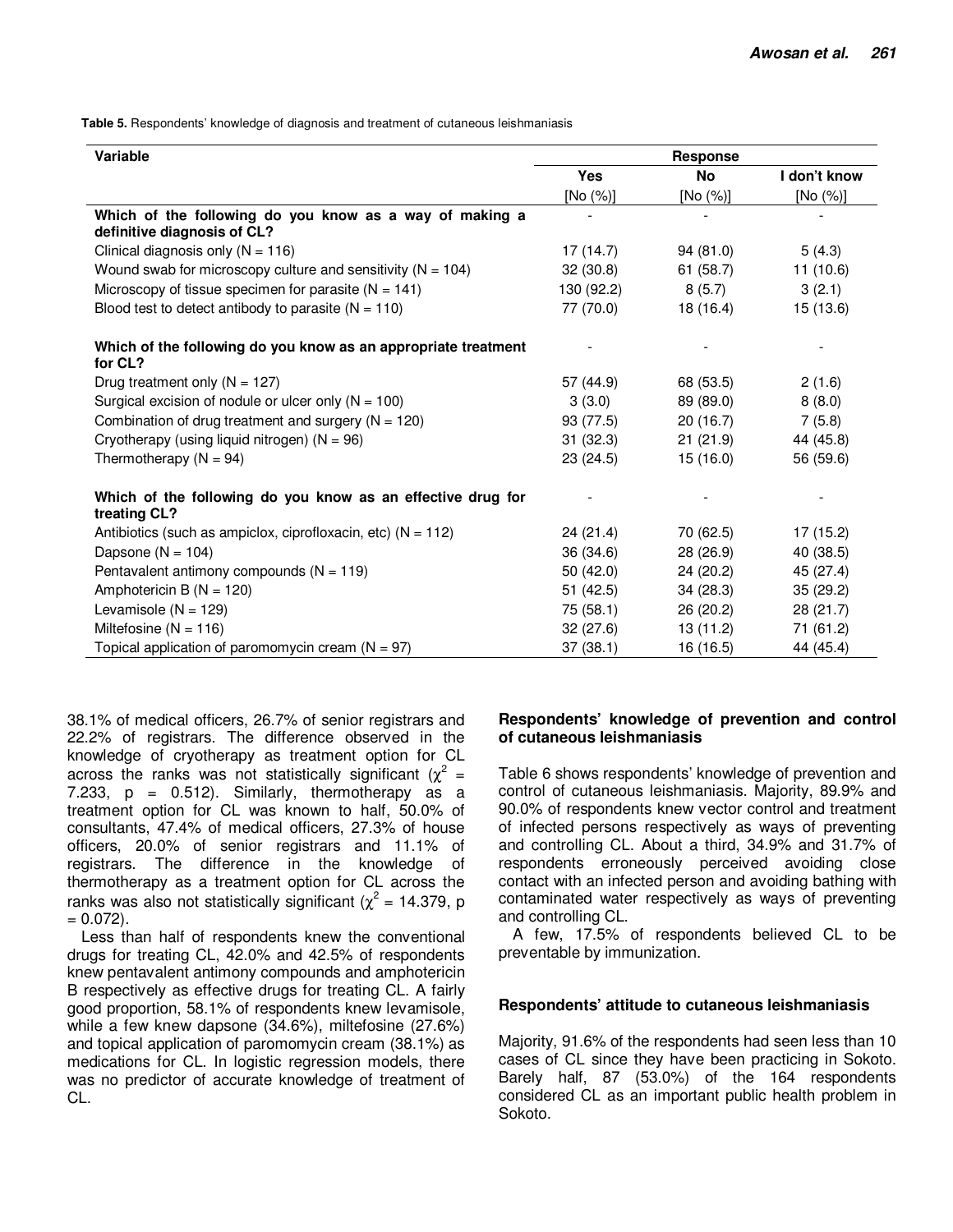**Table 5.** Respondents' knowledge of diagnosis and treatment of cutaneous leishmaniasis

| <b>Variable</b>                                                                        | <b>Response</b> |           |              |
|----------------------------------------------------------------------------------------|-----------------|-----------|--------------|
|                                                                                        | <b>Yes</b>      | No        | I don't know |
|                                                                                        | [No (%)]        | [No (%)]  | [No (%)]     |
| Which of the following do you know as a way of making a<br>definitive diagnosis of CL? |                 |           |              |
| Clinical diagnosis only $(N = 116)$                                                    | 17(14.7)        | 94(81.0)  | 5(4.3)       |
| Wound swab for microscopy culture and sensitivity ( $N = 104$ )                        | 32(30.8)        | 61(58.7)  | 11(10.6)     |
| Microscopy of tissue specimen for parasite ( $N = 141$ )                               | 130 (92.2)      | 8(5.7)    | 3(2.1)       |
| Blood test to detect antibody to parasite $(N = 110)$                                  | 77 (70.0)       | 18 (16.4) | 15 (13.6)    |
| Which of the following do you know as an appropriate treatment<br>for CL?              |                 |           |              |
| Drug treatment only ( $N = 127$ )                                                      | 57 (44.9)       | 68 (53.5) | 2(1.6)       |
| Surgical excision of nodule or ulcer only $(N = 100)$                                  | 3(3.0)          | 89 (89.0) | 8(8.0)       |
| Combination of drug treatment and surgery ( $N = 120$ )                                | 93 (77.5)       | 20(16.7)  | 7(5.8)       |
| Cryotherapy (using liquid nitrogen) ( $N = 96$ )                                       | 31(32.3)        | 21(21.9)  | 44 (45.8)    |
| Thermotherapy ( $N = 94$ )                                                             | 23(24.5)        | 15(16.0)  | 56 (59.6)    |
| Which of the following do you know as an effective drug for<br>treating CL?            |                 |           |              |
| Antibiotics (such as ampiclox, ciprofloxacin, etc) ( $N = 112$ )                       | 24(21.4)        | 70 (62.5) | 17(15.2)     |
| Dapsone ( $N = 104$ )                                                                  | 36 (34.6)       | 28 (26.9) | 40 (38.5)    |
| Pentavalent antimony compounds $(N = 119)$                                             | 50(42.0)        | 24 (20.2) | 45 (27.4)    |
| Amphotericin B ( $N = 120$ )                                                           | 51(42.5)        | 34(28.3)  | 35(29.2)     |
| Levamisole ( $N = 129$ )                                                               | 75 (58.1)       | 26(20.2)  | 28 (21.7)    |
| Miltefosine ( $N = 116$ )                                                              | 32(27.6)        | 13(11.2)  | 71 (61.2)    |
| Topical application of paromomycin cream $(N = 97)$                                    | 37(38.1)        | 16 (16.5) | 44 (45.4)    |

38.1% of medical officers, 26.7% of senior registrars and 22.2% of registrars. The difference observed in the knowledge of cryotherapy as treatment option for CL across the ranks was not statistically significant ( $\chi^2$  = 7.233,  $p = 0.512$ . Similarly, thermotherapy as a treatment option for CL was known to half, 50.0% of consultants, 47.4% of medical officers, 27.3% of house officers, 20.0% of senior registrars and 11.1% of registrars. The difference in the knowledge of thermotherapy as a treatment option for CL across the ranks was also not statistically significant ( $\chi^2$  = 14.379, p  $= 0.072$ ).

Less than half of respondents knew the conventional drugs for treating CL, 42.0% and 42.5% of respondents knew pentavalent antimony compounds and amphotericin B respectively as effective drugs for treating CL. A fairly good proportion, 58.1% of respondents knew levamisole, while a few knew dapsone (34.6%), miltefosine (27.6%) and topical application of paromomycin cream (38.1%) as medications for CL. In logistic regression models, there was no predictor of accurate knowledge of treatment of CL.

## **Respondents' knowledge of prevention and control of cutaneous leishmaniasis**

Table 6 shows respondents' knowledge of prevention and control of cutaneous leishmaniasis. Majority, 89.9% and 90.0% of respondents knew vector control and treatment of infected persons respectively as ways of preventing and controlling CL. About a third, 34.9% and 31.7% of respondents erroneously perceived avoiding close contact with an infected person and avoiding bathing with contaminated water respectively as ways of preventing and controlling CL.

A few, 17.5% of respondents believed CL to be preventable by immunization.

#### **Respondents' attitude to cutaneous leishmaniasis**

Majority, 91.6% of the respondents had seen less than 10 cases of CL since they have been practicing in Sokoto. Barely half, 87 (53.0%) of the 164 respondents considered CL as an important public health problem in Sokoto.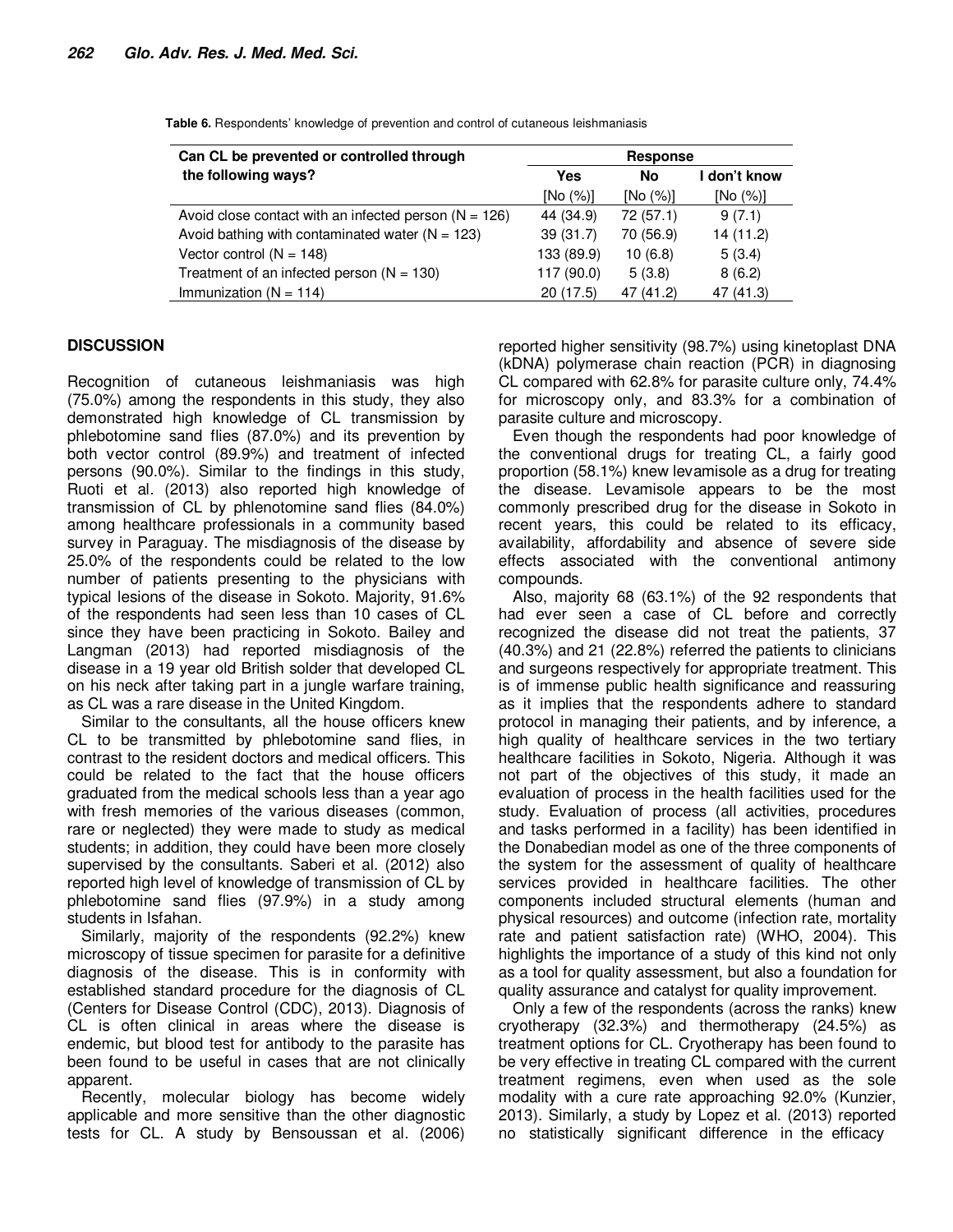| Can CL be prevented or controlled through               | Response   |           |              |
|---------------------------------------------------------|------------|-----------|--------------|
| the following ways?                                     | Yes        | <b>No</b> | I don't know |
|                                                         | [No (%)]   | [No (%)]  | [No (%)]     |
| Avoid close contact with an infected person $(N = 126)$ | 44 (34.9)  | 72 (57.1) | 9(7.1)       |
| Avoid bathing with contaminated water ( $N = 123$ )     | 39(31.7)   | 70 (56.9) | 14 (11.2)    |
| Vector control $(N = 148)$                              | 133 (89.9) | 10(6.8)   | 5(3.4)       |
| Treatment of an infected person $(N = 130)$             | 117 (90.0) | 5(3.8)    | 8(6.2)       |
| Immunization ( $N = 114$ )                              | 20(17.5)   | 47 (41.2) | 47 (41.3)    |

**Table 6.** Respondents' knowledge of prevention and control of cutaneous leishmaniasis

## **DISCUSSION**

Recognition of cutaneous leishmaniasis was high (75.0%) among the respondents in this study, they also demonstrated high knowledge of CL transmission by phlebotomine sand flies (87.0%) and its prevention by both vector control (89.9%) and treatment of infected persons (90.0%). Similar to the findings in this study, Ruoti et al. (2013) also reported high knowledge of transmission of CL by phlenotomine sand flies (84.0%) among healthcare professionals in a community based survey in Paraguay. The misdiagnosis of the disease by 25.0% of the respondents could be related to the low number of patients presenting to the physicians with typical lesions of the disease in Sokoto. Majority, 91.6% of the respondents had seen less than 10 cases of CL since they have been practicing in Sokoto. Bailey and Langman (2013) had reported misdiagnosis of the disease in a 19 year old British solder that developed CL on his neck after taking part in a jungle warfare training, as CL was a rare disease in the United Kingdom.

Similar to the consultants, all the house officers knew CL to be transmitted by phlebotomine sand flies, in contrast to the resident doctors and medical officers. This could be related to the fact that the house officers graduated from the medical schools less than a year ago with fresh memories of the various diseases (common, rare or neglected) they were made to study as medical students; in addition, they could have been more closely supervised by the consultants. Saberi et al. (2012) also reported high level of knowledge of transmission of CL by phlebotomine sand flies (97.9%) in a study among students in Isfahan.

Similarly, majority of the respondents (92.2%) knew microscopy of tissue specimen for parasite for a definitive diagnosis of the disease. This is in conformity with established standard procedure for the diagnosis of CL (Centers for Disease Control (CDC), 2013). Diagnosis of CL is often clinical in areas where the disease is endemic, but blood test for antibody to the parasite has been found to be useful in cases that are not clinically apparent.

Recently, molecular biology has become widely applicable and more sensitive than the other diagnostic tests for CL. A study by Bensoussan et al. (2006)

reported higher sensitivity (98.7%) using kinetoplast DNA (kDNA) polymerase chain reaction (PCR) in diagnosing CL compared with 62.8% for parasite culture only, 74.4% for microscopy only, and 83.3% for a combination of parasite culture and microscopy.

Even though the respondents had poor knowledge of the conventional drugs for treating CL, a fairly good proportion (58.1%) knew levamisole as a drug for treating the disease. Levamisole appears to be the most commonly prescribed drug for the disease in Sokoto in recent years, this could be related to its efficacy, availability, affordability and absence of severe side effects associated with the conventional antimony compounds.

Also, majority 68 (63.1%) of the 92 respondents that had ever seen a case of CL before and correctly recognized the disease did not treat the patients, 37 (40.3%) and 21 (22.8%) referred the patients to clinicians and surgeons respectively for appropriate treatment. This is of immense public health significance and reassuring as it implies that the respondents adhere to standard protocol in managing their patients, and by inference, a high quality of healthcare services in the two tertiary healthcare facilities in Sokoto, Nigeria. Although it was not part of the objectives of this study, it made an evaluation of process in the health facilities used for the study. Evaluation of process (all activities, procedures and tasks performed in a facility) has been identified in the Donabedian model as one of the three components of the system for the assessment of quality of healthcare services provided in healthcare facilities. The other components included structural elements (human and physical resources) and outcome (infection rate, mortality rate and patient satisfaction rate) (WHO, 2004). This highlights the importance of a study of this kind not only as a tool for quality assessment, but also a foundation for quality assurance and catalyst for quality improvement.

Only a few of the respondents (across the ranks) knew cryotherapy (32.3%) and thermotherapy (24.5%) as treatment options for CL. Cryotherapy has been found to be very effective in treating CL compared with the current treatment regimens, even when used as the sole modality with a cure rate approaching 92.0% (Kunzier, 2013). Similarly, a study by Lopez et al. (2013) reported no statistically significant difference in the efficacy